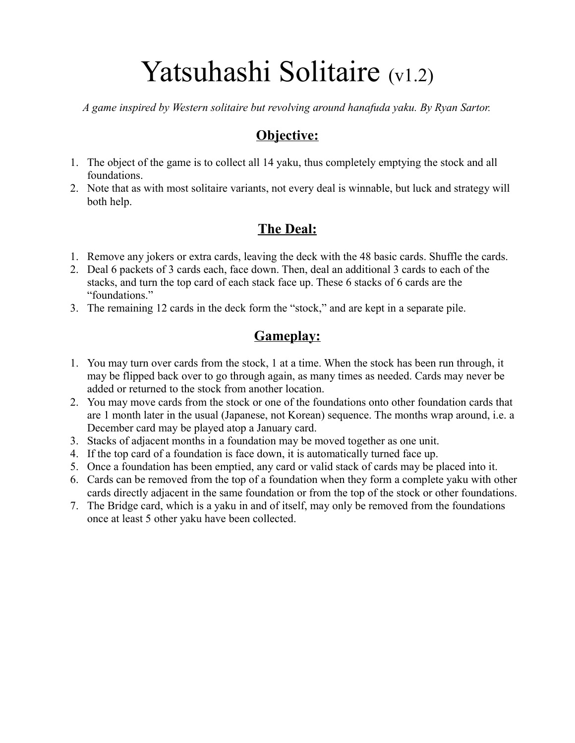# Yatsuhashi Solitaire (v1.2)

*A game inspired by Western solitaire but revolving around hanafuda yaku. By Ryan Sartor.*

#### **Objective:**

- 1. The object of the game is to collect all 14 yaku, thus completely emptying the stock and all foundations.
- 2. Note that as with most solitaire variants, not every deal is winnable, but luck and strategy will both help.

### **The Deal:**

- 1. Remove any jokers or extra cards, leaving the deck with the 48 basic cards. Shuffle the cards.
- 2. Deal 6 packets of 3 cards each, face down. Then, deal an additional 3 cards to each of the stacks, and turn the top card of each stack face up. These 6 stacks of 6 cards are the "foundations."
- 3. The remaining 12 cards in the deck form the "stock," and are kept in a separate pile.

#### **Gameplay:**

- 1. You may turn over cards from the stock, 1 at a time. When the stock has been run through, it may be flipped back over to go through again, as many times as needed. Cards may never be added or returned to the stock from another location.
- 2. You may move cards from the stock or one of the foundations onto other foundation cards that are 1 month later in the usual (Japanese, not Korean) sequence. The months wrap around, i.e. a December card may be played atop a January card.
- 3. Stacks of adjacent months in a foundation may be moved together as one unit.
- 4. If the top card of a foundation is face down, it is automatically turned face up.
- 5. Once a foundation has been emptied, any card or valid stack of cards may be placed into it.
- 6. Cards can be removed from the top of a foundation when they form a complete yaku with other cards directly adjacent in the same foundation or from the top of the stock or other foundations.
- 7. The Bridge card, which is a yaku in and of itself, may only be removed from the foundations once at least 5 other yaku have been collected.